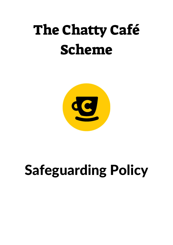## The Chatty Café Scheme



# Safeguarding Policy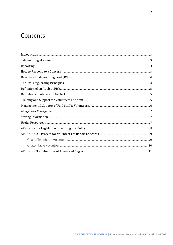## Contents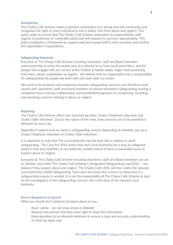#### Introduction

The Chatty Café Scheme makes a positive contribution to a strong and safe community and recognises the right of every individual to live in safety, free from abuse and neglect. This policy seeks to ensure that The Chatty Café Scheme undertakes its responsibilities with regards to protection of vulnerable adults and will respond to concerns appropriately. This policy establishes a framework to support paid and unpaid staff in their practices and clarifies the organisation's expectations.

#### Safeguarding Statement

Everyone at The Chatty Café Scheme including volunteers, staff and Board members understand that at times the people who are referred to us from social prescribers, and the people who engage with our service at the Chatter & Natter tables, might need protecting from harm, abuse, exploitation or neglect. We believe that our organisation has a responsibility for safeguarding the people we work with and each other as a team.

We want to be proactive and responsive towards safeguarding concerns and therefore work closely with volunteers, staff and board members to ensure mandatory Safeguarding training is completed thus creating a collaborative and standardised approach to recognising, recording and reporting concerns relating to abuse or neglect.

#### Reporting

The Chatty Café Scheme offers two volunteering roles; Chatty Telephone Volunteer and Chatty Table Volunteer. Due to the nature of the roles, how concerns are to be reported is different for each role.

Appendix 2 explains how to report a safeguarding concern depending on whether you are a Chatty Telephone Volunteer or Chatty Table Volunteer.

It is important to note that The Local Authority has the lead role in relation to adult safeguarding. The Care Act 2014 states that each Local Authority has a duty to safeguard adults in that area (whether or not ordinarily resident there) if there is reasonable cause to suspect abuse or neglect.

Everyone at The Chatty Café Scheme including volunteers, staff and Board members can act as 'alerters' and notify The Chatty Café Scheme's Designated Safeguarding Lead (DSL) – see below) if they suspect abuse and neglect. The Chatty Café's DSL will then notify the relevant Local Authority's Adult Safeguarding Team who will assess the concern to determine if a safeguarding enquiry is needed. It is not the responsibility of The Chatty Café Scheme to lead on the investigation of the safeguarding concern, this is the duty of the relevant Local Authority.

#### How to Respond to a Concern

What you should do if someone discloses abuse to you:

- React calmly do not show shock or disbelief
- Reassure the person that they were right to share the information
- Keep questions to an absolute minimum to ensure a clear and accurate understanding of what has been said.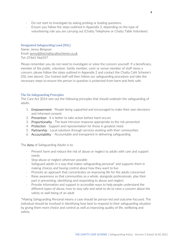- · Do not start to investigate by asking probing or leading questions
- · Ensure you follow the steps outlined in Appendix 2, depending on the type of volunteering role you are carrying out (Chatty Telephone or Chatty Table Volunteer).

#### Designated Safeguarding Lead (DSL)

Name: Jenny Bimpson Email: jenny@thechattycafescheme.co.uk Tel: 07465 966597

Please remember you do not need to investigate or solve the concern yourself. If a beneficiary, member of the public, volunteer, family member, carer or venue member of staff raises a concern, please follow the steps outlined in Appendix 2 and contact the Chatty Café Scheme's DSL (see above). Our trained staff will then follow our safeguarding procedure and take the necessary steps to ensure the person in question is protected from harm and feels safe.

#### The Six Safeguarding Principles

The Care Act 2014 sets out the following principles that should underpin the safeguarding of adults.

- 1. **Empowerment** People being supported and encouraged to make their own decisions and informed consent
- 2. Prevention It is better to take action before harm occurs
- 3. Proportionality The least intrusive response appropriate to the risk presented
- 4. Protection Support and representation for those in greatest need.
- 5. Partnership Local solutions through services working with their communities
- 6. Accountability Accountable and transparent in delivering safeguarding

The **Aims** of Safeguarding Adults is to:

- Prevent harm and reduce the risk of abuse or neglect to adults with care and support needs
- Stop abuse or neglect wherever possible
- Safeguard adults in a way that makes safeguarding personal\* and supports them in making choices and having control about how they want to live
- Promote an approach that concentrates on improving life for the adults concerned
- Raise awareness so that communities as a whole, alongside professionals, play their part in preventing, identifying and responding to abuse and neglect
- · Provide information and support in accessible ways to help people understand the different types of abuse, how to stay safe and what to do to raise a concern about the safety or well-being of an adult

\*Making Safeguarding Personal means a case should be person-led and outcome-focused. The individual should be involved in identifying how best to respond to their safeguarding situation by giving them more choice and control as well as improving quality of life, wellbeing and safety.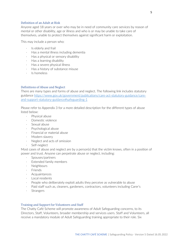#### Definition of an Adult at Risk

Anyone aged 18 years or over who may be in need of community care services by reason of mental or other disability, age or illness and who is or may be unable to take care of themselves, unable to protect themselves against significant harm or exploitation.

This may include a person who:

- Is elderly and frail
- · Has a mental illness including dementia
- · Has a physical or sensory disability
- · Has a learning disability
- Has a severe physical illness
- · Has a history of substance misuse
- · Is homeless

#### Definitions of Abuse and Neglect

There are many types and forms of abuse and neglect. The following link includes statutory guidance https://www.gov.uk/government/publications/care-act-statutory-guidance/careand-support-statutory-guidance#safeguarding-1

Please refer to Appendix 3 for a more detailed description for the different types of abuse listed below:

- · Physical abuse
- · Domestic violence
- Sexual abuse
- · Psychological abuse
- · Financial or material abuse
- Modern slavery
- · Neglect and acts of omission
- Self-neglect

Most cases of abuse and neglect are by a person(s) that the victim knows, often in a position of power and trust. Anyone can perpetrate abuse or neglect, including:

- Spouses/partners
- · Extended family members
- · Neighbours
- **Friends**
- · Acquaintances
- Local residents
- People who deliberately exploit adults they perceive as vulnerable to abuse
- · Paid staff such as, cleaners, gardeners, contractors, volunteers including Carer's
- · Strangers

#### Training and Support for Volunteers and Staff

The Chatty Café Scheme will promote awareness of Adult Safeguarding concerns, to its Directors, Staff, Volunteers, broader membership and services users. Staff and Volunteers, all receive a mandatory module of Adult Safeguarding training appropriate to their role. Six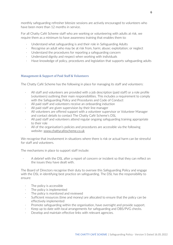monthly safeguarding refresher bitesize sessions are actively encouraged to volunteers who have been more than 12 months in service.

For all Chatty Café Scheme staff who are working or volunteering with adults at risk, we require them as a minimum to have awareness training that enables them to:

- · Understand what safeguarding is and their role in Safeguarding Adults
- Recognise an adult who may be at risk from, harm; abuse; exploitation; or neglect
- Understand the procedures for reporting a safeguarding concern
- Understand dignity and respect when working with individuals
- · Have knowledge of policy, procedures and legislation that supports safeguarding adults

#### Management & Support of Paid Staff & Volunteers

The Chatty Café Scheme has the following in place for managing its staff and volunteers:

- All staff and volunteers are provided with a job description (paid staff) or a role profile (volunteers) outlining their main responsibilities. This includes a requirement to comply with the Safeguarding Policy and Procedures and Code of Conduct
- All paid staff and volunteers receive an onboarding induction
- · All paid staff are given supervision by their line manager
- All volunteers are offered support with a volunteer supervisor or Volunteer Manager and contact details to contact The Chatty Café Scheme's DSL
- All paid staff and volunteers attend regular ongoing safeguarding training appropriate to their role
- · All of the organisation's policies and procedures are accessible via the following website: www.chattycafescheme.co.uk

We recognise that involvement in situations where there is risk or actual harm can be stressful for staff and volunteers.

The mechanisms in place to support staff include:

· A debrief with the DSL after a report of concern or incident so that they can reflect on the issues they have dealt with.

The Board of Directors recognise their duty to oversee this Safeguarding Policy and engage with the DSL in identifying best practice on safeguarding. The DSL has the responsibility to ensure:

- The policy is accessible
- The policy is implemented
- The policy is monitored and reviewed
- Sufficient resources (time and money) are allocated to ensure that the policy can be effectively implemented
- Promote safeguarding within the organisation, have oversight and provide support.
- · Keep up to date with local arrangements for safeguarding and DBS/PVG checks.
- · Develop and maintain effective links with relevant agencies.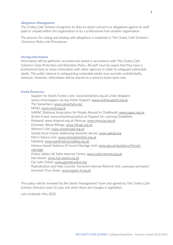#### Allegations Management

The Chatty Café Scheme recognises its duty to report concerns or allegations against its staff (paid or unpaid) within the organisation or by a professional from another organisation.

The process for raising and dealing with allegations is explained in The Chatty Café Scheme's Grievance Policy and Procedures.

#### Storing Information

Information will be gathered, recorded and stored in accordance with The Chatty Café Scheme's Data Protection and Retention Policy. All staff must be aware that they have a professional duty to share information with other agencies in order to safeguard vulnerable adults. The public interest in safeguarding vulnerable adults may override confidentiality interests. However, information will be shared on a need-to-know basis only.

#### Useful Resources

- Support for Adults Family Lives: www.familylives.org.uk Crime Stoppers: www.crimestoppers-uk.org Victim Support: www.victimsupport.org.uk
- · The Samaritans: www.samaritans.org
- · MIND: www.mind.org.uk
- · NAPAC (National Association for People Abused in Childhood): www.napac.org.uk
- · Action Fraud: www.actionfraud.police.uk Support for Learning Disabilities
- Respond: www.respond.org.uk Mencap: www.mencap.org.uk
- · Domestic Abuse Refuge: www.refuge.org.uk
- · Women's Aid: www.womensaid.org.uk
- Sateda (local charity addressing domestic abuse): www.sateda.org
- Men's Advice Line: www.mensadviceline.org.uk
- · Mankind: www.mankindcounselling.org.uk
- · Honour-based Violence 8 Forced Marriage Unit: www.gov.uk/guidance/forcedmarriage
- · Online Safety UK Safer Internet Centre: www.saferinternet.org.uk
- Net Aware: www.net-aware.org.uk
- · Get Safe Online: www.getsafeonline.org
- Radicalisation and Hate Counter Terrorism Internet Referral Unit: www.gov.uk/reportterrorism True Vision: www.report-it.org.uk

This policy will be reviewed by the Senior Management Team and agreed by The Chatty Café Scheme Directors each (1) year and when there are changes in legislation.

Last reviewed: May 2022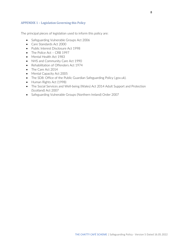#### APPENDIX 1 – Legislation Governing this Policy

The principal pieces of legislation used to inform this policy are:

- Safeguarding Vulnerable Groups Act 2006
- Care Standards Act 2000
- Public Interest Disclosure Act 1998
- The Police Act CRB 1997
- Mental Health Act 1983
- NHS and Community Care Act 1990
- Rehabilitation of Offenders Act 1974
- The Care Act 2014
- Mental Capacity Act 2005
- The SD8: Office of the Public Guardian Safeguarding Policy (.gov.uk).
- Human Rights Act (1998)
- The Social Services and Well-being (Wales) Act 2014 Adult Support and Protection (Scotland) Act 2007
- Safeguarding Vulnerable Groups (Northern Ireland) Order 2007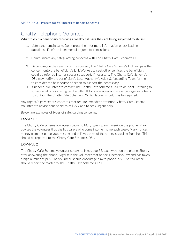#### APPENDIX 2 – Process for Volunteers to Report Concerns

### Chatty Telephone Volunteer

#### What to do if a beneficiary receiving a weekly call says they are being subjected to abuse?

- 1. Listen and remain calm. Don't press them for more information or ask leading questions. Don't be judgemental or jump to conclusions.
- 2. Communicate any safeguarding concerns with The Chatty Café Scheme's DSL.
- 3. Depending on the severity of the concern, The Chatty Cafe Scheme's DSL will pass the concern onto the beneficiary's Link Worker, to seek other services the beneficiary could be referred into for specialist support. If necessary, The Chatty Café Scheme's DSL may notify the beneficiary's Local Authority's Adult Safeguarding Team for them to consider the best course of action to support the beneficiary.
- 4. If needed, Volunteer to contact The Chatty Café Scheme's DSL to de-brief. Listening to someone who is suffering can be difficult for a volunteer and we encourage volunteers to contact The Chatty Café Scheme's DSL to debrief, should this be required.

Any urgent/highly serious concerns that require immediate attention, Chatty Café Scheme Volunteer to advise beneficiary to call 999 and to seek urgent help.

Below are examples of types of safeguarding concerns:

#### EXAMPLE 1

The Chatty Café Scheme volunteer speaks to Mary, age 93, each week on the phone. Mary advises the volunteer that she has carers who come into her home each week. Mary notices money from her purse goes missing and believes ones of the carers is stealing from her. This should be reported to the Chatty Café Scheme's DSL.

#### EXAMPLE 2

The Chatty Café Scheme volunteer speaks to Nigel, age 55, each week on the phone. Shortly after answering the phone, Nigel tells the volunteer that he feels incredibly low and has taken a high number of pills. The volunteer should encourage him to phone 999. The volunteer should report the matter to The Chatty Café Scheme's DSL.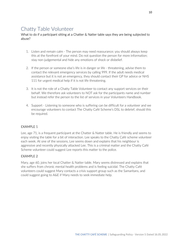### Chatty Table Volunteer

#### What to do if a participant sitting at a Chatter & Natter table says they are being subjected to abuse?

- 1. Listen and remain calm The person may need reassurance; you should always keep this at the forefront of your mind. Do not question the person for more information; stay non-judgemental and hide any emotions of shock or disbelief.
- 2. If the person or someone else's life is in danger or life threatening, advise them to contact the relevant emergency services by calling 999. If the adult needs medical assistance but it is not an emergency, they should contact their GP for advice or NHS 111 for urgent medical help if it is not life threatening.
- 3. It is not the role of a Chatty Table Volunteer to contact any support services on their behalf. We therefore ask volunteers to NOT ask for the participants name and number but instead refer the person to the list of services in your Volunteers Handbook.
- 4. Support Listening to someone who is suffering can be difficult for a volunteer and we encourage volunteers to contact The Chatty Café Scheme's DSL to debrief, should this be required.

#### **FXAMPLE 1**

Lee, age 71, is a frequent participant at the Chatter & Natter table. He is friendly and seems to enjoy visiting the table for a bit of interaction. Lee speaks to the Chatty Café scheme volunteer each week. At one of the sessions, Lee seems down and explains that his neighbour is aggressive and recently physically attacked Lee. This is a criminal matter and the Chatty Café Scheme volunteer could suggest Lee reports this matter to the police.

#### EXAMPLE 2

Mary, age 60, joins her local Chatter & Natter table. Mary seems distressed and explains that she suffers from chronic mental health problems and is feeling suicidal. The Chatty Café volunteers could suggest Mary contacts a crisis support group such as the Samaritans, and could suggest going to A&E if Mary needs to seek immediate help.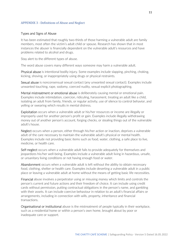#### APPENDIX 3 - Definitions of Abuse and Neglect

#### Types and Signs of Abuse

It has been estimated that roughly two-thirds of those harming a vulnerable adult are family members, most often the victim's adult child or spouse. Research has shown that in most instances the abuser is financially dependent on the vulnerable adult's resources and have problems related to alcohol and drugs.

Stay alert to the different types of abuse.

The word abuse covers many different ways someone may harm a vulnerable adult.

Physical abuse is intentional bodily injury. Some examples include slapping, pinching, choking, kicking, shoving, or inappropriately using drugs or physical restraints.

Sexual abuse is nonconsensual sexual contact (any unwanted sexual contact). Examples include unwanted touching, rape, sodomy, coerced nudity, sexual explicit photographing.

Mental mistreatment or emotional abuse is deliberately causing mental or emotional pain. Examples include intimidation, coercion, ridiculing, harassment, treating an adult like a child, isolating an adult from family, friends, or regular activity, use of silence to control behavior, and yelling or swearing which results in mental distress.

Exploitation occurs when a vulnerable adult or his/her resources or income are illegally or improperly used for another person's profit or gain. Examples include illegally withdrawing money out of another person's account, forging checks, or stealing things out of the vulnerable adult's house.

Neglect occurs when a person, either through his/her action or inaction, deprives a vulnerable adult of the care necessary to maintain the vulnerable adult's physical or mental health. Examples include not providing basic items such as food, water, clothing, a safe place to live, medicine, or health care.

Self-neglect occurs when a vulnerable adult fails to provide adequately for themselves and jeopardizes his/her well-being. Examples include a vulnerable adult living in hazardous, unsafe, or unsanitary living conditions or not having enough food or water.

Abandonment occurs when a vulnerable adult is left without the ability to obtain necessary food, clothing, shelter or health care. Examples include deserting a vulnerable adult in a public place or leaving a vulnerable adult at home without the means of getting basic life necessities.

Financial abuse involves a perpetrator using or misusing money which limits and controls the person's current and future actions and their freedom of choice. It can include using credit cards without permission, putting contractual obligations in the person's name, and gambling with their assets. It can include coercive behaviour in relation to an adult's financial affairs or arrangements, including in connection with wills, property, inheritance and financial transactions.

Organisational or institutional abuse is the mistreatment of people typically in their workplace, such as a residential home or within a person's own home, brought about by poor or inadequate care or support.